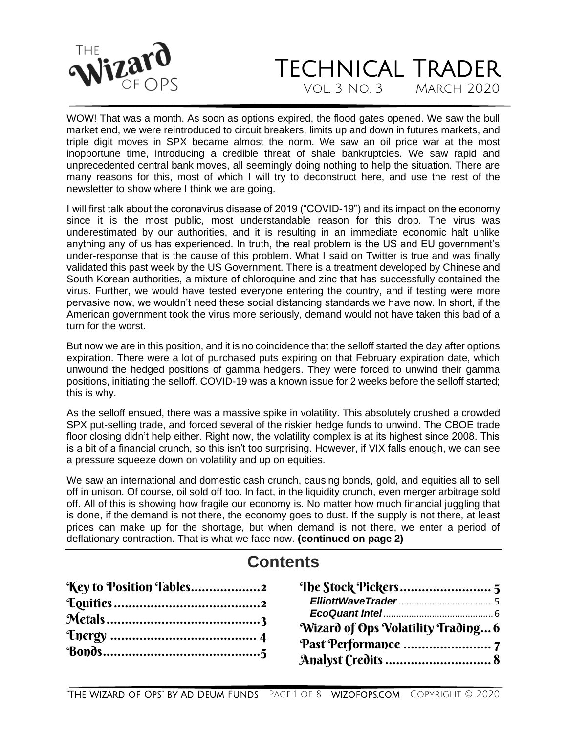

WOW! That was a month. As soon as options expired, the flood gates opened. We saw the bull market end, we were reintroduced to circuit breakers, limits up and down in futures markets, and triple digit moves in SPX became almost the norm. We saw an oil price war at the most inopportune time, introducing a credible threat of shale bankruptcies. We saw rapid and unprecedented central bank moves, all seemingly doing nothing to help the situation. There are many reasons for this, most of which I will try to deconstruct here, and use the rest of the newsletter to show where I think we are going.

I will first talk about the coronavirus disease of 2019 ("COVID-19") and its impact on the economy since it is the most public, most understandable reason for this drop. The virus was underestimated by our authorities, and it is resulting in an immediate economic halt unlike anything any of us has experienced. In truth, the real problem is the US and EU government's under-response that is the cause of this problem. What I said on Twitter is true and was finally validated this past week by the US Government. There is a treatment developed by Chinese and South Korean authorities, a mixture of chloroquine and zinc that has successfully contained the virus. Further, we would have tested everyone entering the country, and if testing were more pervasive now, we wouldn't need these social distancing standards we have now. In short, if the American government took the virus more seriously, demand would not have taken this bad of a turn for the worst.

But now we are in this position, and it is no coincidence that the selloff started the day after options expiration. There were a lot of purchased puts expiring on that February expiration date, which unwound the hedged positions of gamma hedgers. They were forced to unwind their gamma positions, initiating the selloff. COVID-19 was a known issue for 2 weeks before the selloff started; this is why.

As the selloff ensued, there was a massive spike in volatility. This absolutely crushed a crowded SPX put-selling trade, and forced several of the riskier hedge funds to unwind. The CBOE trade floor closing didn't help either. Right now, the volatility complex is at its highest since 2008. This is a bit of a financial crunch, so this isn't too surprising. However, if VIX falls enough, we can see a pressure squeeze down on volatility and up on equities.

We saw an international and domestic cash crunch, causing bonds, gold, and equities all to sell off in unison. Of course, oil sold off too. In fact, in the liquidity crunch, even merger arbitrage sold off. All of this is showing how fragile our economy is. No matter how much financial juggling that is done, if the demand is not there, the economy goes to dust. If the supply is not there, at least prices can make up for the shortage, but when demand is not there, we enter a period of deflationary contraction. That is what we face now. **(continued on page 2)**

### **Contents**

| Key to Position Tables2 |                                    |
|-------------------------|------------------------------------|
|                         |                                    |
|                         |                                    |
|                         | Wizard of Ops Volatility Trading 6 |
|                         |                                    |
|                         |                                    |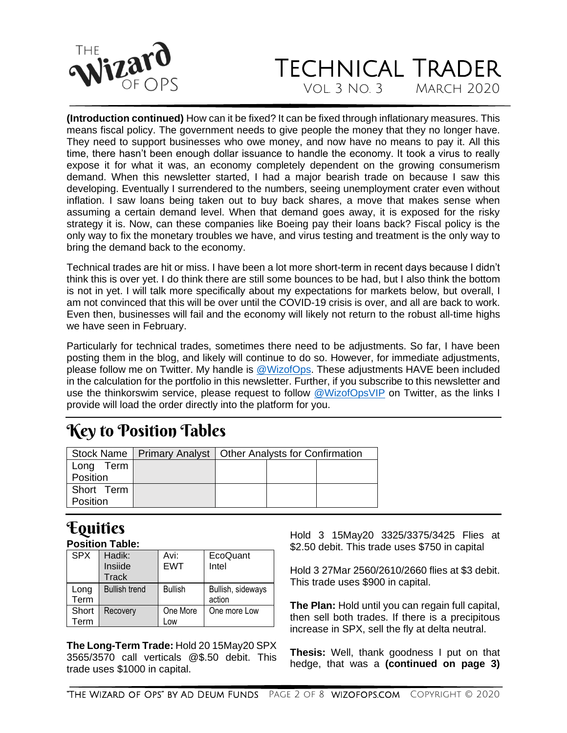

### TECHNICAL TRADER Vol. 3 No. 3 March 2020

**(Introduction continued)** How can it be fixed? It can be fixed through inflationary measures. This means fiscal policy. The government needs to give people the money that they no longer have. They need to support businesses who owe money, and now have no means to pay it. All this time, there hasn't been enough dollar issuance to handle the economy. It took a virus to really expose it for what it was, an economy completely dependent on the growing consumerism demand. When this newsletter started, I had a major bearish trade on because I saw this developing. Eventually I surrendered to the numbers, seeing unemployment crater even without inflation. I saw loans being taken out to buy back shares, a move that makes sense when assuming a certain demand level. When that demand goes away, it is exposed for the risky strategy it is. Now, can these companies like Boeing pay their loans back? Fiscal policy is the only way to fix the monetary troubles we have, and virus testing and treatment is the only way to bring the demand back to the economy.

Technical trades are hit or miss. I have been a lot more short-term in recent days because I didn't think this is over yet. I do think there are still some bounces to be had, but I also think the bottom is not in yet. I will talk more specifically about my expectations for markets below, but overall, I am not convinced that this will be over until the COVID-19 crisis is over, and all are back to work. Even then, businesses will fail and the economy will likely not return to the robust all-time highs we have seen in February.

Particularly for technical trades, sometimes there need to be adjustments. So far, I have been posting them in the blog, and likely will continue to do so. However, for immediate adjustments, please follow me on Twitter. My handle is [@WizofOps.](file:///C:/Users/jilld/Documents/Ad%20Deum/Newsletters/twitter.com/wizofops) These adjustments HAVE been included in the calculation for the portfolio in this newsletter. Further, if you subscribe to this newsletter and use the thinkorswim service, please request to follow [@WizofOpsVIP](file:///C:/Users/jde214/Downloads/twitter.com/WizofOpsVIP) on Twitter, as the links I provide will load the order directly into the platform for you.

## <span id="page-1-0"></span>Key to Position Tables

|                        | Stock Name   Primary Analyst   Other Analysts for Confirmation |  |  |
|------------------------|----------------------------------------------------------------|--|--|
| Long Term<br>Position  |                                                                |  |  |
| Short Term<br>Position |                                                                |  |  |

# <span id="page-1-1"></span>Equities

**Position Table:**

| <b>SPX</b>   | Hadik:<br>Insiide<br><b>Track</b> | Avi:<br><b>EWT</b> | EcoQuant<br>Intel           |
|--------------|-----------------------------------|--------------------|-----------------------------|
| Long<br>Term | <b>Bullish trend</b>              | <b>Bullish</b>     | Bullish, sideways<br>action |
| Short        | Recovery                          | One More           | One more Low                |
| Term         |                                   | Low                |                             |

**The Long-Term Trade:** Hold 20 15May20 SPX 3565/3570 call verticals @\$.50 debit. This trade uses \$1000 in capital.

Hold 3 15May20 3325/3375/3425 Flies at \$2.50 debit. This trade uses \$750 in capital

Hold 3 27Mar 2560/2610/2660 flies at \$3 debit. This trade uses \$900 in capital.

**The Plan:** Hold until you can regain full capital, then sell both trades. If there is a precipitous increase in SPX, sell the fly at delta neutral.

**Thesis:** Well, thank goodness I put on that hedge, that was a **(continued on page 3)**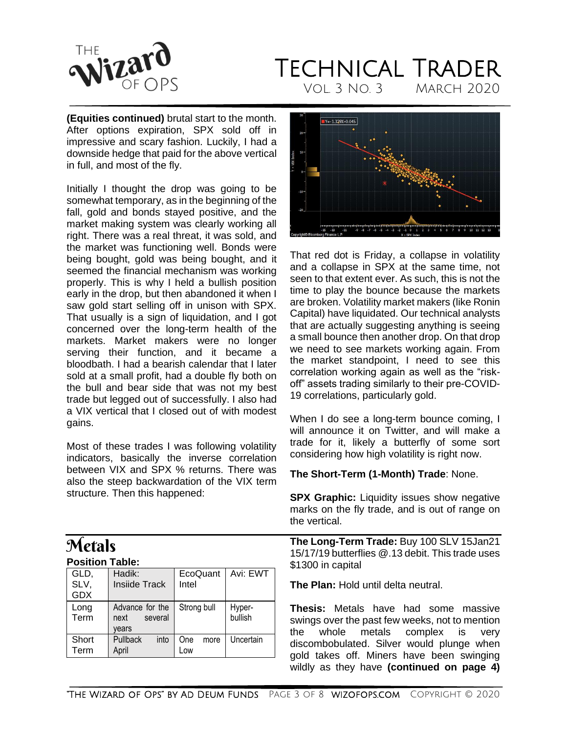

**(Equities continued)** brutal start to the month. After options expiration, SPX sold off in impressive and scary fashion. Luckily, I had a downside hedge that paid for the above vertical in full, and most of the fly.

Initially I thought the drop was going to be somewhat temporary, as in the beginning of the fall, gold and bonds stayed positive, and the market making system was clearly working all right. There was a real threat, it was sold, and the market was functioning well. Bonds were being bought, gold was being bought, and it seemed the financial mechanism was working properly. This is why I held a bullish position early in the drop, but then abandoned it when I saw gold start selling off in unison with SPX. That usually is a sign of liquidation, and I got concerned over the long-term health of the markets. Market makers were no longer serving their function, and it became a bloodbath. I had a bearish calendar that I later sold at a small profit, had a double fly both on the bull and bear side that was not my best trade but legged out of successfully. I also had a VIX vertical that I closed out of with modest gains.

Most of these trades I was following volatility indicators, basically the inverse correlation between VIX and SPX % returns. There was also the steep backwardation of the VIX term structure. Then this happened:

# <span id="page-2-0"></span>**Metals**

| <b>Position Table:</b> |  |
|------------------------|--|
|                        |  |

| GLD,<br>SLV,<br><b>GDX</b> | Hadik:<br><b>Insiide Track</b>              | EcoQuant<br>Intel  | Avi: EWT          |
|----------------------------|---------------------------------------------|--------------------|-------------------|
| Long<br>Term               | Advance for the<br>several<br>next<br>vears | Strong bull        | Hyper-<br>bullish |
| Short<br>Term              | Pullback<br>into<br>April                   | One<br>more<br>Low | Uncertain         |



That red dot is Friday, a collapse in volatility and a collapse in SPX at the same time, not seen to that extent ever. As such, this is not the time to play the bounce because the markets are broken. Volatility market makers (like Ronin Capital) have liquidated. Our technical analysts that are actually suggesting anything is seeing a small bounce then another drop. On that drop we need to see markets working again. From the market standpoint, I need to see this correlation working again as well as the "riskoff" assets trading similarly to their pre-COVID-19 correlations, particularly gold.

When I do see a long-term bounce coming, I will announce it on Twitter, and will make a trade for it, likely a butterfly of some sort considering how high volatility is right now.

#### **The Short-Term (1-Month) Trade**: None.

**SPX Graphic:** Liquidity issues show negative marks on the fly trade, and is out of range on the vertical.

**The Long-Term Trade:** Buy 100 SLV 15Jan21 15/17/19 butterflies @.13 debit. This trade uses \$1300 in capital

**The Plan:** Hold until delta neutral.

**Thesis:** Metals have had some massive swings over the past few weeks, not to mention the whole metals complex is very discombobulated. Silver would plunge when gold takes off. Miners have been swinging wildly as they have **(continued on page 4)**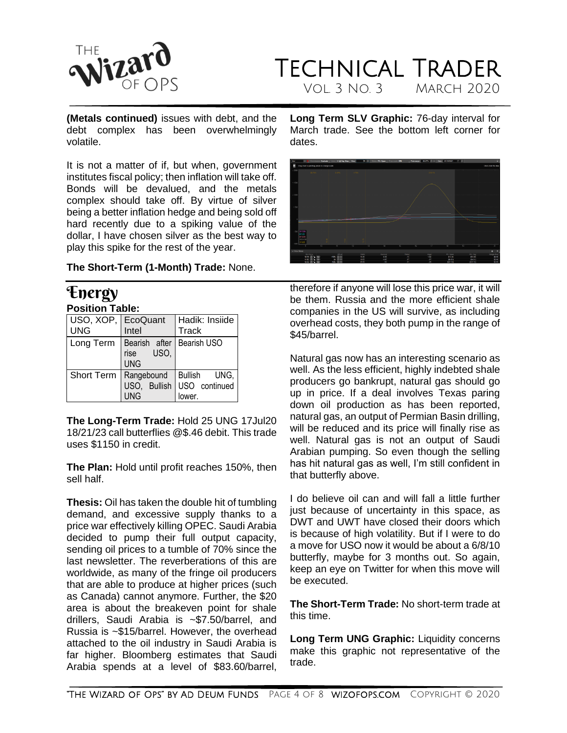

### TECHNICAL TRADER Vol. 3 No. 3 March 2020

**(Metals continued)** issues with debt, and the debt complex has been overwhelmingly volatile.

It is not a matter of if, but when, government institutes fiscal policy; then inflation will take off. Bonds will be devalued, and the metals complex should take off. By virtue of silver being a better inflation hedge and being sold off hard recently due to a spiking value of the dollar, I have chosen silver as the best way to play this spike for the rest of the year.

**The Short-Term (1-Month) Trade:** None.

#### <span id="page-3-0"></span>Energy **Position Table:**

| USO, XOP, EcoQuant<br><b>UNG</b> | Intel                                                                 | Hadik: Insiide<br>Track                                         |
|----------------------------------|-----------------------------------------------------------------------|-----------------------------------------------------------------|
|                                  | Long Term   Bearish after   Bearish USO<br>USO,<br>rise<br><b>UNG</b> |                                                                 |
| Short Term                       | <b>UNG</b>                                                            | Rangebound Bullish UNG,<br>USO, Bullish USO continued<br>lower. |

**The Long-Term Trade:** Hold 25 UNG 17Jul20 18/21/23 call butterflies @\$.46 debit. This trade uses \$1150 in credit.

**The Plan:** Hold until profit reaches 150%, then sell half.

**Thesis:** Oil has taken the double hit of tumbling demand, and excessive supply thanks to a price war effectively killing OPEC. Saudi Arabia decided to pump their full output capacity, sending oil prices to a tumble of 70% since the last newsletter. The reverberations of this are worldwide, as many of the fringe oil producers that are able to produce at higher prices (such as Canada) cannot anymore. Further, the \$20 area is about the breakeven point for shale drillers, Saudi Arabia is ~\$7.50/barrel, and Russia is ~\$15/barrel. However, the overhead attached to the oil industry in Saudi Arabia is far higher. Bloomberg estimates that Saudi Arabia spends at a level of \$83.60/barrel,

**Long Term SLV Graphic:** 76-day interval for March trade. See the bottom left corner for dates.



therefore if anyone will lose this price war, it will be them. Russia and the more efficient shale companies in the US will survive, as including overhead costs, they both pump in the range of \$45/barrel.

Natural gas now has an interesting scenario as well. As the less efficient, highly indebted shale producers go bankrupt, natural gas should go up in price. If a deal involves Texas paring down oil production as has been reported, natural gas, an output of Permian Basin drilling, will be reduced and its price will finally rise as well. Natural gas is not an output of Saudi Arabian pumping. So even though the selling has hit natural gas as well, I'm still confident in that butterfly above.

I do believe oil can and will fall a little further just because of uncertainty in this space, as DWT and UWT have closed their doors which is because of high volatility. But if I were to do a move for USO now it would be about a 6/8/10 butterfly, maybe for 3 months out. So again, keep an eye on Twitter for when this move will be executed.

**The Short-Term Trade:** No short-term trade at this time.

**Long Term UNG Graphic:** Liquidity concerns make this graphic not representative of the trade.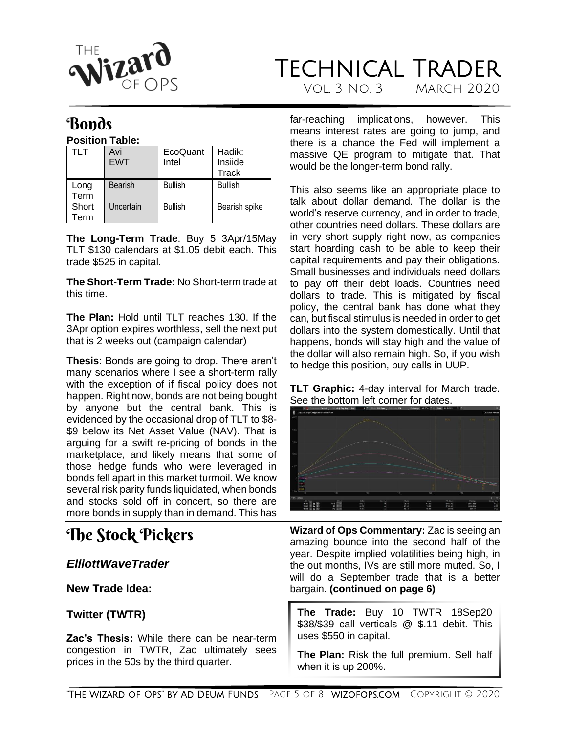

### <span id="page-4-0"></span>**Bonds**

**Position Table:**

| TLT   | Avi            | EcoQuant       | Hadik:         |
|-------|----------------|----------------|----------------|
|       | <b>EWT</b>     | Intel          | Insiide        |
|       |                |                | Track          |
| Long  | <b>Bearish</b> | <b>Bullish</b> | <b>Bullish</b> |
| Term  |                |                |                |
| Short | Uncertain      | <b>Bullish</b> | Bearish spike  |
| Геrm  |                |                |                |

**The Long-Term Trade**: Buy 5 3Apr/15May TLT \$130 calendars at \$1.05 debit each. This trade \$525 in capital.

**The Short-Term Trade:** No Short-term trade at this time.

**The Plan:** Hold until TLT reaches 130. If the 3Apr option expires worthless, sell the next put that is 2 weeks out (campaign calendar)

**Thesis**: Bonds are going to drop. There aren't many scenarios where I see a short-term rally with the exception of if fiscal policy does not happen. Right now, bonds are not being bought by anyone but the central bank. This is evidenced by the occasional drop of TLT to \$8- \$9 below its Net Asset Value (NAV). That is arguing for a swift re-pricing of bonds in the marketplace, and likely means that some of those hedge funds who were leveraged in bonds fell apart in this market turmoil. We know several risk parity funds liquidated, when bonds and stocks sold off in concert, so there are more bonds in supply than in demand. This has

## <span id="page-4-1"></span>The Stock Pickers

#### <span id="page-4-2"></span>*ElliottWaveTrader*

**New Trade Idea:**

#### **Twitter (TWTR)**

**Zac's Thesis:** While there can be near-term congestion in TWTR, Zac ultimately sees prices in the 50s by the third quarter.

far-reaching implications, however. This means interest rates are going to jump, and there is a chance the Fed will implement a massive QE program to mitigate that. That would be the longer-term bond rally.

This also seems like an appropriate place to talk about dollar demand. The dollar is the world's reserve currency, and in order to trade, other countries need dollars. These dollars are in very short supply right now, as companies start hoarding cash to be able to keep their capital requirements and pay their obligations. Small businesses and individuals need dollars to pay off their debt loads. Countries need dollars to trade. This is mitigated by fiscal policy, the central bank has done what they can, but fiscal stimulus is needed in order to get dollars into the system domestically. Until that happens, bonds will stay high and the value of the dollar will also remain high. So, if you wish to hedge this position, buy calls in UUP.

**TLT Graphic:** 4-day interval for March trade. See the bottom left corner for dates.



**Wizard of Ops Commentary:** Zac is seeing an amazing bounce into the second half of the year. Despite implied volatilities being high, in the out months, IVs are still more muted. So, I will do a September trade that is a better bargain. **(continued on page 6)**

**The Trade:** Buy 10 TWTR 18Sep20 \$38/\$39 call verticals @ \$.11 debit. This uses \$550 in capital.

**The Plan:** Risk the full premium. Sell half when it is up 200%.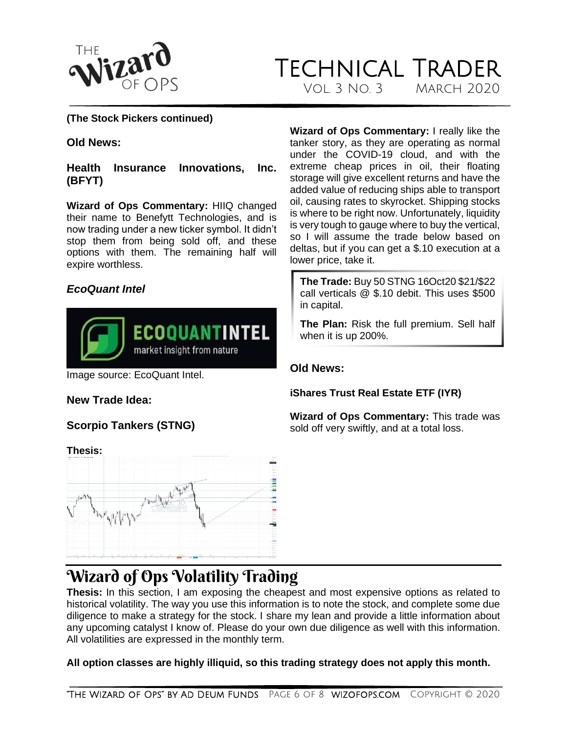

#### **(The Stock Pickers continued)**

#### **Old News:**

**Health Insurance Innovations, Inc. (BFYT)**

**Wizard of Ops Commentary:** HIIQ changed their name to Benefytt Technologies, and is now trading under a new ticker symbol. It didn't stop them from being sold off, and these options with them. The remaining half will expire worthless.

#### <span id="page-5-0"></span>*EcoQuant Intel*



Image source: EcoQuant Intel.

#### **New Trade Idea:**

#### **Scorpio Tankers (STNG)**

**Thesis:**  $1 - 36$ 

**Wizard of Ops Commentary:** I really like the tanker story, as they are operating as normal under the COVID-19 cloud, and with the extreme cheap prices in oil, their floating storage will give excellent returns and have the added value of reducing ships able to transport oil, causing rates to skyrocket. Shipping stocks is where to be right now. Unfortunately, liquidity is very tough to gauge where to buy the vertical, so I will assume the trade below based on deltas, but if you can get a \$.10 execution at a lower price, take it.

**The Trade:** Buy 50 STNG 16Oct20 \$21/\$22 call verticals @ \$.10 debit. This uses \$500 in capital.

**The Plan:** Risk the full premium. Sell half when it is up 200%.

#### **Old News:**

**iShares Trust Real Estate ETF (IYR)**

**Wizard of Ops Commentary:** This trade was sold off very swiftly, and at a total loss.

### <span id="page-5-1"></span>Wizard of Ops Volatility Trading

**Thesis:** In this section, I am exposing the cheapest and most expensive options as related to historical volatility. The way you use this information is to note the stock, and complete some due diligence to make a strategy for the stock. I share my lean and provide a little information about any upcoming catalyst I know of. Please do your own due diligence as well with this information. All volatilities are expressed in the monthly term.

**All option classes are highly illiquid, so this trading strategy does not apply this month.**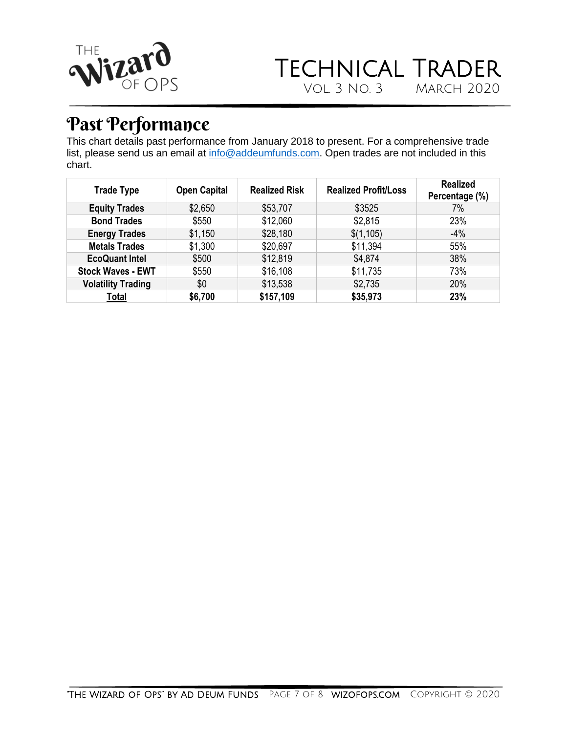

### TECHNICAL TRADER<br>VOL. 3 NO. 3 MARCH 2020 VOL. 3 NO. 3

## <span id="page-6-0"></span>Past Performance

This chart details past performance from January 2018 to present. For a comprehensive trade list, please send us an email at [info@addeumfunds.com.](mailto:info@addeumfunds.com) Open trades are not included in this chart.

| <b>Trade Type</b>         | <b>Open Capital</b> | <b>Realized Risk</b> | <b>Realized Profit/Loss</b> | <b>Realized</b><br>Percentage (%) |
|---------------------------|---------------------|----------------------|-----------------------------|-----------------------------------|
| <b>Equity Trades</b>      | \$2,650             | \$53,707             | \$3525                      | 7%                                |
| <b>Bond Trades</b>        | \$550               | \$12,060             | \$2,815                     | 23%                               |
| <b>Energy Trades</b>      | \$1,150             | \$28,180             | \$(1,105)                   | $-4%$                             |
| <b>Metals Trades</b>      | \$1,300             | \$20,697             | \$11,394                    | 55%                               |
| <b>EcoQuant Intel</b>     | \$500               | \$12,819             | \$4,874                     | 38%                               |
| <b>Stock Waves - EWT</b>  | \$550               | \$16,108             | \$11,735                    | 73%                               |
| <b>Volatility Trading</b> | \$0                 | \$13,538             | \$2,735                     | 20%                               |
| Total                     | \$6,700             | \$157,109            | \$35,973                    | 23%                               |